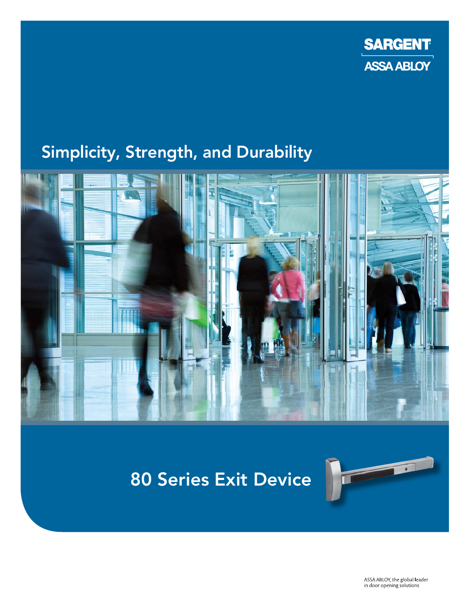

## Simplicity, Strength, and Durability



# 80 Series Exit Device



ASSA ABLOY, the global leader in door opening solutions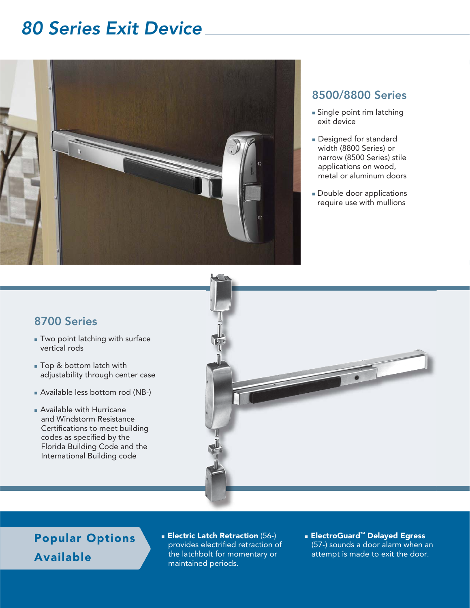## 80 Series Exit Device



### 8500/8800 Series

- Single point rim latching exit device
- Designed for standard width (8800 Series) or narrow (8500 Series) stile applications on wood, metal or aluminum doors
- Double door applications require use with mullions

#### 8700 Series

- Two point latching with surface vertical rods
- Top & bottom latch with adjustability through center case
- Available less bottom rod (NB-)
- Available with Hurricane and Windstorm Resistance Certifications to meet building codes as specified by the Florida Building Code and the International Building code



Popular Options Available

- **Electric Latch Retraction** (56-) provides electrified retraction of the latchbolt for momentary or maintained periods.
- ElectroGuard™ Delayed Egress (57-) sounds a door alarm when an attempt is made to exit the door.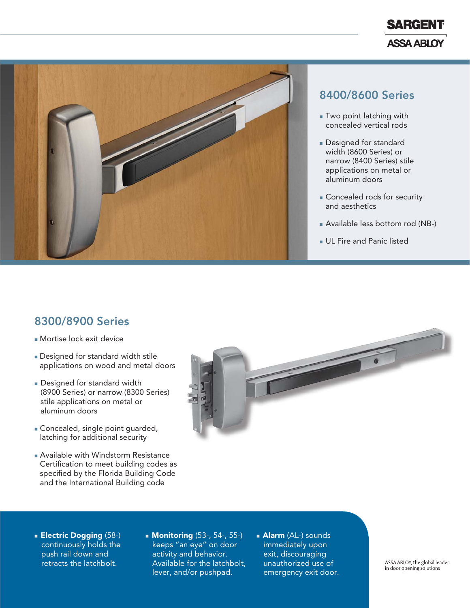



#### 8400/8600 Series

- $\blacksquare$  Two point latching with concealed vertical rods
- Designed for standard width (8600 Series) or narrow (8400 Series) stile applications on metal or aluminum doors
- Concealed rods for security and aesthetics
- Available less bottom rod (NB-)
- UL Fire and Panic listed

#### 8300/8900 Series

- Mortise lock exit device
- Designed for standard width stile applications on wood and metal doors
- Designed for standard width (8900 Series) or narrow (8300 Series) stile applications on metal or aluminum doors
- Concealed, single point guarded, latching for additional security
- Available with Windstorm Resistance Certification to meet building codes as specified by the Florida Building Code and the International Building code



- **Electric Dogging** (58-) continuously holds the push rail down and retracts the latchbolt.
- **Monitoring** (53-, 54-, 55-) keeps "an eye" on door activity and behavior. Available for the latchbolt, lever, and/or pushpad.
- **Alarm** (AL-) sounds immediately upon exit, discouraging unauthorized use of emergency exit door.

ASSA ABLOY, the global leader in door opening solutions